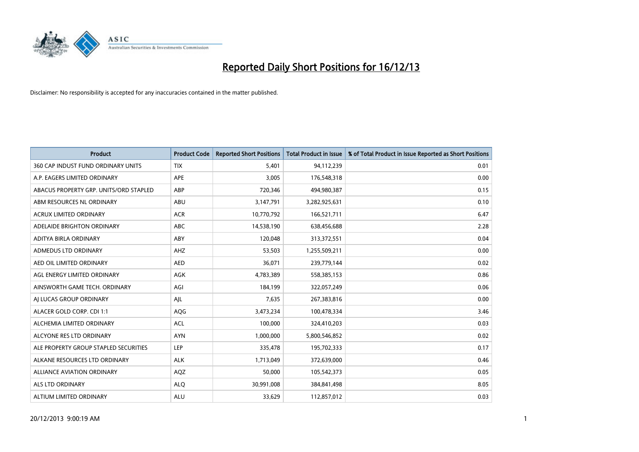

| <b>Product</b>                         | <b>Product Code</b> | <b>Reported Short Positions</b> | <b>Total Product in Issue</b> | % of Total Product in Issue Reported as Short Positions |
|----------------------------------------|---------------------|---------------------------------|-------------------------------|---------------------------------------------------------|
| 360 CAP INDUST FUND ORDINARY UNITS     | <b>TIX</b>          | 5,401                           | 94,112,239                    | 0.01                                                    |
| A.P. EAGERS LIMITED ORDINARY           | APE                 | 3,005                           | 176,548,318                   | 0.00                                                    |
| ABACUS PROPERTY GRP. UNITS/ORD STAPLED | ABP                 | 720,346                         | 494,980,387                   | 0.15                                                    |
| ABM RESOURCES NL ORDINARY              | ABU                 | 3,147,791                       | 3,282,925,631                 | 0.10                                                    |
| <b>ACRUX LIMITED ORDINARY</b>          | <b>ACR</b>          | 10,770,792                      | 166,521,711                   | 6.47                                                    |
| ADELAIDE BRIGHTON ORDINARY             | <b>ABC</b>          | 14,538,190                      | 638,456,688                   | 2.28                                                    |
| ADITYA BIRLA ORDINARY                  | ABY                 | 120,048                         | 313,372,551                   | 0.04                                                    |
| ADMEDUS LTD ORDINARY                   | AHZ                 | 53,503                          | 1,255,509,211                 | 0.00                                                    |
| AED OIL LIMITED ORDINARY               | <b>AED</b>          | 36,071                          | 239,779,144                   | 0.02                                                    |
| AGL ENERGY LIMITED ORDINARY            | <b>AGK</b>          | 4,783,389                       | 558,385,153                   | 0.86                                                    |
| AINSWORTH GAME TECH. ORDINARY          | AGI                 | 184,199                         | 322,057,249                   | 0.06                                                    |
| AJ LUCAS GROUP ORDINARY                | AJL                 | 7,635                           | 267,383,816                   | 0.00                                                    |
| ALACER GOLD CORP. CDI 1:1              | AQG                 | 3,473,234                       | 100,478,334                   | 3.46                                                    |
| ALCHEMIA LIMITED ORDINARY              | <b>ACL</b>          | 100,000                         | 324,410,203                   | 0.03                                                    |
| ALCYONE RES LTD ORDINARY               | <b>AYN</b>          | 1,000,000                       | 5,800,546,852                 | 0.02                                                    |
| ALE PROPERTY GROUP STAPLED SECURITIES  | LEP                 | 335,478                         | 195,702,333                   | 0.17                                                    |
| ALKANE RESOURCES LTD ORDINARY          | <b>ALK</b>          | 1,713,049                       | 372,639,000                   | 0.46                                                    |
| ALLIANCE AVIATION ORDINARY             | AQZ                 | 50,000                          | 105,542,373                   | 0.05                                                    |
| ALS LTD ORDINARY                       | <b>ALQ</b>          | 30,991,008                      | 384,841,498                   | 8.05                                                    |
| ALTIUM LIMITED ORDINARY                | <b>ALU</b>          | 33,629                          | 112,857,012                   | 0.03                                                    |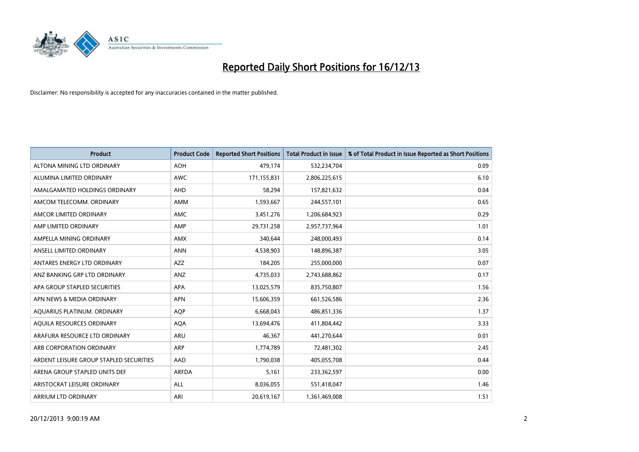

| <b>Product</b>                          | <b>Product Code</b> | <b>Reported Short Positions</b> | <b>Total Product in Issue</b> | % of Total Product in Issue Reported as Short Positions |
|-----------------------------------------|---------------------|---------------------------------|-------------------------------|---------------------------------------------------------|
| ALTONA MINING LTD ORDINARY              | <b>AOH</b>          | 479,174                         | 532,234,704                   | 0.09                                                    |
| ALUMINA LIMITED ORDINARY                | <b>AWC</b>          | 171,155,831                     | 2,806,225,615                 | 6.10                                                    |
| AMALGAMATED HOLDINGS ORDINARY           | <b>AHD</b>          | 58,294                          | 157,821,632                   | 0.04                                                    |
| AMCOM TELECOMM, ORDINARY                | <b>AMM</b>          | 1,593,667                       | 244,557,101                   | 0.65                                                    |
| AMCOR LIMITED ORDINARY                  | AMC                 | 3,451,276                       | 1,206,684,923                 | 0.29                                                    |
| AMP LIMITED ORDINARY                    | AMP                 | 29,731,258                      | 2,957,737,964                 | 1.01                                                    |
| AMPELLA MINING ORDINARY                 | AMX                 | 340,644                         | 248,000,493                   | 0.14                                                    |
| ANSELL LIMITED ORDINARY                 | <b>ANN</b>          | 4,538,903                       | 148,896,387                   | 3.05                                                    |
| ANTARES ENERGY LTD ORDINARY             | <b>AZZ</b>          | 184,205                         | 255,000,000                   | 0.07                                                    |
| ANZ BANKING GRP LTD ORDINARY            | ANZ                 | 4,735,033                       | 2,743,688,862                 | 0.17                                                    |
| APA GROUP STAPLED SECURITIES            | APA                 | 13,025,579                      | 835,750,807                   | 1.56                                                    |
| APN NEWS & MEDIA ORDINARY               | <b>APN</b>          | 15,606,359                      | 661,526,586                   | 2.36                                                    |
| AQUARIUS PLATINUM. ORDINARY             | <b>AOP</b>          | 6,668,043                       | 486,851,336                   | 1.37                                                    |
| AQUILA RESOURCES ORDINARY               | <b>AQA</b>          | 13,694,476                      | 411,804,442                   | 3.33                                                    |
| ARAFURA RESOURCE LTD ORDINARY           | ARU                 | 46,367                          | 441,270,644                   | 0.01                                                    |
| ARB CORPORATION ORDINARY                | ARP                 | 1,774,789                       | 72,481,302                    | 2.45                                                    |
| ARDENT LEISURE GROUP STAPLED SECURITIES | AAD                 | 1,790,038                       | 405,055,708                   | 0.44                                                    |
| ARENA GROUP STAPLED UNITS DEF           | <b>ARFDA</b>        | 5,161                           | 233,362,597                   | 0.00                                                    |
| ARISTOCRAT LEISURE ORDINARY             | <b>ALL</b>          | 8,036,055                       | 551,418,047                   | 1.46                                                    |
| ARRIUM LTD ORDINARY                     | ARI                 | 20,619,167                      | 1,361,469,008                 | 1.51                                                    |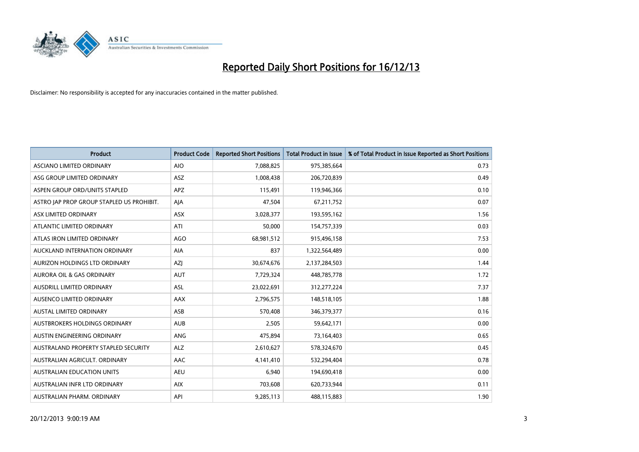

| <b>Product</b>                            | <b>Product Code</b> | <b>Reported Short Positions</b> | <b>Total Product in Issue</b> | % of Total Product in Issue Reported as Short Positions |
|-------------------------------------------|---------------------|---------------------------------|-------------------------------|---------------------------------------------------------|
| ASCIANO LIMITED ORDINARY                  | <b>AIO</b>          | 7,088,825                       | 975,385,664                   | 0.73                                                    |
| ASG GROUP LIMITED ORDINARY                | ASZ                 | 1,008,438                       | 206,720,839                   | 0.49                                                    |
| ASPEN GROUP ORD/UNITS STAPLED             | <b>APZ</b>          | 115,491                         | 119,946,366                   | 0.10                                                    |
| ASTRO JAP PROP GROUP STAPLED US PROHIBIT. | AJA                 | 47,504                          | 67,211,752                    | 0.07                                                    |
| ASX LIMITED ORDINARY                      | ASX                 | 3,028,377                       | 193,595,162                   | 1.56                                                    |
| ATLANTIC LIMITED ORDINARY                 | ATI                 | 50,000                          | 154,757,339                   | 0.03                                                    |
| ATLAS IRON LIMITED ORDINARY               | <b>AGO</b>          | 68,981,512                      | 915,496,158                   | 7.53                                                    |
| AUCKLAND INTERNATION ORDINARY             | AIA                 | 837                             | 1,322,564,489                 | 0.00                                                    |
| AURIZON HOLDINGS LTD ORDINARY             | AZJ                 | 30,674,676                      | 2,137,284,503                 | 1.44                                                    |
| <b>AURORA OIL &amp; GAS ORDINARY</b>      | <b>AUT</b>          | 7,729,324                       | 448,785,778                   | 1.72                                                    |
| AUSDRILL LIMITED ORDINARY                 | <b>ASL</b>          | 23,022,691                      | 312,277,224                   | 7.37                                                    |
| AUSENCO LIMITED ORDINARY                  | AAX                 | 2,796,575                       | 148,518,105                   | 1.88                                                    |
| AUSTAL LIMITED ORDINARY                   | ASB                 | 570,408                         | 346, 379, 377                 | 0.16                                                    |
| AUSTBROKERS HOLDINGS ORDINARY             | <b>AUB</b>          | 2,505                           | 59,642,171                    | 0.00                                                    |
| AUSTIN ENGINEERING ORDINARY               | ANG                 | 475,894                         | 73,164,403                    | 0.65                                                    |
| AUSTRALAND PROPERTY STAPLED SECURITY      | <b>ALZ</b>          | 2,610,627                       | 578,324,670                   | 0.45                                                    |
| AUSTRALIAN AGRICULT. ORDINARY             | AAC                 | 4,141,410                       | 532,294,404                   | 0.78                                                    |
| <b>AUSTRALIAN EDUCATION UNITS</b>         | <b>AEU</b>          | 6,940                           | 194,690,418                   | 0.00                                                    |
| AUSTRALIAN INFR LTD ORDINARY              | <b>AIX</b>          | 703,608                         | 620,733,944                   | 0.11                                                    |
| AUSTRALIAN PHARM. ORDINARY                | API                 | 9,285,113                       | 488,115,883                   | 1.90                                                    |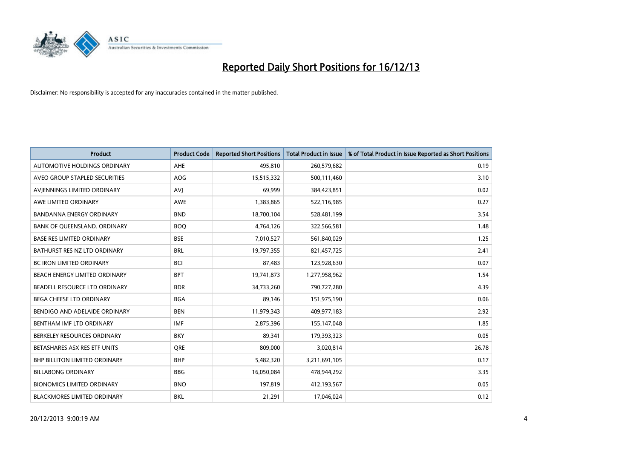

| <b>Product</b>                    | <b>Product Code</b> | <b>Reported Short Positions</b> | <b>Total Product in Issue</b> | % of Total Product in Issue Reported as Short Positions |
|-----------------------------------|---------------------|---------------------------------|-------------------------------|---------------------------------------------------------|
| AUTOMOTIVE HOLDINGS ORDINARY      | AHE                 | 495,810                         | 260,579,682                   | 0.19                                                    |
| AVEO GROUP STAPLED SECURITIES     | AOG                 | 15,515,332                      | 500,111,460                   | 3.10                                                    |
| AVIENNINGS LIMITED ORDINARY       | <b>AVI</b>          | 69,999                          | 384,423,851                   | 0.02                                                    |
| AWE LIMITED ORDINARY              | <b>AWE</b>          | 1,383,865                       | 522,116,985                   | 0.27                                                    |
| <b>BANDANNA ENERGY ORDINARY</b>   | <b>BND</b>          | 18,700,104                      | 528,481,199                   | 3.54                                                    |
| BANK OF QUEENSLAND. ORDINARY      | <b>BOO</b>          | 4,764,126                       | 322,566,581                   | 1.48                                                    |
| <b>BASE RES LIMITED ORDINARY</b>  | <b>BSE</b>          | 7,010,527                       | 561,840,029                   | 1.25                                                    |
| BATHURST RES NZ LTD ORDINARY      | <b>BRL</b>          | 19,797,355                      | 821,457,725                   | 2.41                                                    |
| BC IRON LIMITED ORDINARY          | <b>BCI</b>          | 87,483                          | 123,928,630                   | 0.07                                                    |
| BEACH ENERGY LIMITED ORDINARY     | <b>BPT</b>          | 19,741,873                      | 1,277,958,962                 | 1.54                                                    |
| BEADELL RESOURCE LTD ORDINARY     | <b>BDR</b>          | 34,733,260                      | 790,727,280                   | 4.39                                                    |
| BEGA CHEESE LTD ORDINARY          | <b>BGA</b>          | 89,146                          | 151,975,190                   | 0.06                                                    |
| BENDIGO AND ADELAIDE ORDINARY     | <b>BEN</b>          | 11,979,343                      | 409,977,183                   | 2.92                                                    |
| BENTHAM IMF LTD ORDINARY          | <b>IMF</b>          | 2,875,396                       | 155,147,048                   | 1.85                                                    |
| BERKELEY RESOURCES ORDINARY       | <b>BKY</b>          | 89,341                          | 179,393,323                   | 0.05                                                    |
| BETASHARES ASX RES ETF UNITS      | <b>ORE</b>          | 809,000                         | 3,020,814                     | 26.78                                                   |
| BHP BILLITON LIMITED ORDINARY     | <b>BHP</b>          | 5,482,320                       | 3,211,691,105                 | 0.17                                                    |
| <b>BILLABONG ORDINARY</b>         | <b>BBG</b>          | 16,050,084                      | 478,944,292                   | 3.35                                                    |
| <b>BIONOMICS LIMITED ORDINARY</b> | <b>BNO</b>          | 197,819                         | 412,193,567                   | 0.05                                                    |
| BLACKMORES LIMITED ORDINARY       | <b>BKL</b>          | 21,291                          | 17,046,024                    | 0.12                                                    |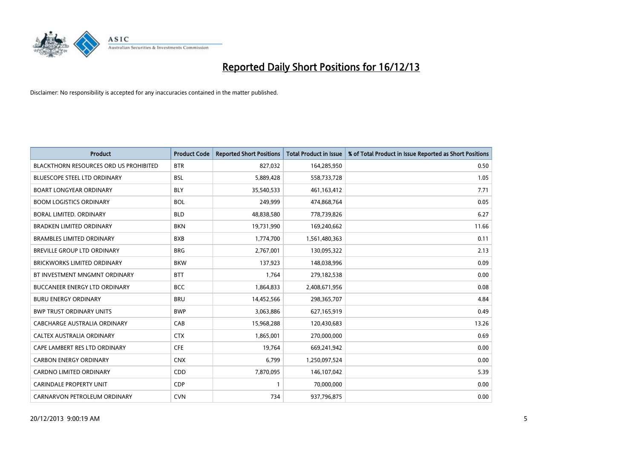

| <b>Product</b>                                | <b>Product Code</b> | <b>Reported Short Positions</b> | <b>Total Product in Issue</b> | % of Total Product in Issue Reported as Short Positions |
|-----------------------------------------------|---------------------|---------------------------------|-------------------------------|---------------------------------------------------------|
| <b>BLACKTHORN RESOURCES ORD US PROHIBITED</b> | <b>BTR</b>          | 827,032                         | 164,285,950                   | 0.50                                                    |
| <b>BLUESCOPE STEEL LTD ORDINARY</b>           | <b>BSL</b>          | 5,889,428                       | 558,733,728                   | 1.05                                                    |
| <b>BOART LONGYEAR ORDINARY</b>                | <b>BLY</b>          | 35,540,533                      | 461,163,412                   | 7.71                                                    |
| <b>BOOM LOGISTICS ORDINARY</b>                | <b>BOL</b>          | 249,999                         | 474,868,764                   | 0.05                                                    |
| <b>BORAL LIMITED, ORDINARY</b>                | <b>BLD</b>          | 48,838,580                      | 778,739,826                   | 6.27                                                    |
| <b>BRADKEN LIMITED ORDINARY</b>               | <b>BKN</b>          | 19,731,990                      | 169,240,662                   | 11.66                                                   |
| <b>BRAMBLES LIMITED ORDINARY</b>              | <b>BXB</b>          | 1,774,700                       | 1,561,480,363                 | 0.11                                                    |
| BREVILLE GROUP LTD ORDINARY                   | <b>BRG</b>          | 2,767,001                       | 130,095,322                   | 2.13                                                    |
| <b>BRICKWORKS LIMITED ORDINARY</b>            | <b>BKW</b>          | 137,923                         | 148,038,996                   | 0.09                                                    |
| BT INVESTMENT MNGMNT ORDINARY                 | <b>BTT</b>          | 1,764                           | 279,182,538                   | 0.00                                                    |
| <b>BUCCANEER ENERGY LTD ORDINARY</b>          | <b>BCC</b>          | 1,864,833                       | 2,408,671,956                 | 0.08                                                    |
| <b>BURU ENERGY ORDINARY</b>                   | <b>BRU</b>          | 14,452,566                      | 298,365,707                   | 4.84                                                    |
| <b>BWP TRUST ORDINARY UNITS</b>               | <b>BWP</b>          | 3,063,886                       | 627,165,919                   | 0.49                                                    |
| <b>CABCHARGE AUSTRALIA ORDINARY</b>           | CAB                 | 15,968,288                      | 120,430,683                   | 13.26                                                   |
| CALTEX AUSTRALIA ORDINARY                     | <b>CTX</b>          | 1,865,001                       | 270,000,000                   | 0.69                                                    |
| CAPE LAMBERT RES LTD ORDINARY                 | <b>CFE</b>          | 19,764                          | 669,241,942                   | 0.00                                                    |
| <b>CARBON ENERGY ORDINARY</b>                 | <b>CNX</b>          | 6,799                           | 1,250,097,524                 | 0.00                                                    |
| CARDNO LIMITED ORDINARY                       | CDD                 | 7,870,095                       | 146, 107, 042                 | 5.39                                                    |
| <b>CARINDALE PROPERTY UNIT</b>                | <b>CDP</b>          | $\mathbf{1}$                    | 70,000,000                    | 0.00                                                    |
| CARNARVON PETROLEUM ORDINARY                  | <b>CVN</b>          | 734                             | 937,796,875                   | 0.00                                                    |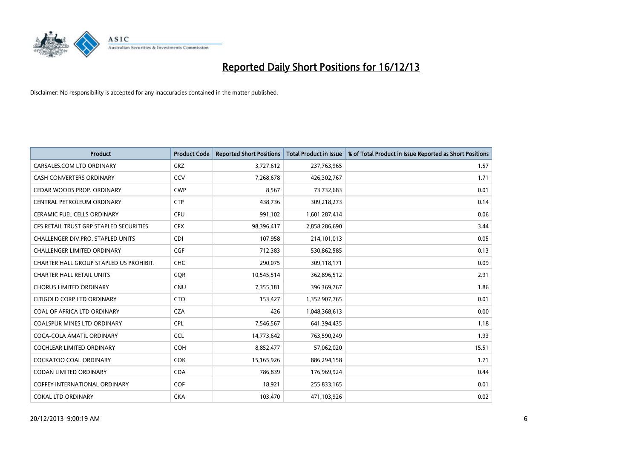

| <b>Product</b>                          | <b>Product Code</b> | <b>Reported Short Positions</b> | <b>Total Product in Issue</b> | % of Total Product in Issue Reported as Short Positions |
|-----------------------------------------|---------------------|---------------------------------|-------------------------------|---------------------------------------------------------|
| CARSALES.COM LTD ORDINARY               | <b>CRZ</b>          | 3,727,612                       | 237,763,965                   | 1.57                                                    |
| <b>CASH CONVERTERS ORDINARY</b>         | CCV                 | 7,268,678                       | 426,302,767                   | 1.71                                                    |
| CEDAR WOODS PROP. ORDINARY              | <b>CWP</b>          | 8,567                           | 73,732,683                    | 0.01                                                    |
| CENTRAL PETROLEUM ORDINARY              | <b>CTP</b>          | 438,736                         | 309,218,273                   | 0.14                                                    |
| <b>CERAMIC FUEL CELLS ORDINARY</b>      | <b>CFU</b>          | 991,102                         | 1,601,287,414                 | 0.06                                                    |
| CFS RETAIL TRUST GRP STAPLED SECURITIES | <b>CFX</b>          | 98,396,417                      | 2,858,286,690                 | 3.44                                                    |
| CHALLENGER DIV.PRO. STAPLED UNITS       | <b>CDI</b>          | 107,958                         | 214,101,013                   | 0.05                                                    |
| CHALLENGER LIMITED ORDINARY             | <b>CGF</b>          | 712,383                         | 530,862,585                   | 0.13                                                    |
| CHARTER HALL GROUP STAPLED US PROHIBIT. | <b>CHC</b>          | 290,075                         | 309,118,171                   | 0.09                                                    |
| <b>CHARTER HALL RETAIL UNITS</b>        | <b>COR</b>          | 10,545,514                      | 362,896,512                   | 2.91                                                    |
| <b>CHORUS LIMITED ORDINARY</b>          | <b>CNU</b>          | 7,355,181                       | 396,369,767                   | 1.86                                                    |
| CITIGOLD CORP LTD ORDINARY              | <b>CTO</b>          | 153,427                         | 1,352,907,765                 | 0.01                                                    |
| COAL OF AFRICA LTD ORDINARY             | <b>CZA</b>          | 426                             | 1,048,368,613                 | 0.00                                                    |
| <b>COALSPUR MINES LTD ORDINARY</b>      | <b>CPL</b>          | 7,546,567                       | 641,394,435                   | 1.18                                                    |
| COCA-COLA AMATIL ORDINARY               | <b>CCL</b>          | 14,773,642                      | 763,590,249                   | 1.93                                                    |
| COCHLEAR LIMITED ORDINARY               | <b>COH</b>          | 8,852,477                       | 57,062,020                    | 15.51                                                   |
| COCKATOO COAL ORDINARY                  | <b>COK</b>          | 15,165,926                      | 886,294,158                   | 1.71                                                    |
| <b>CODAN LIMITED ORDINARY</b>           | <b>CDA</b>          | 786,839                         | 176,969,924                   | 0.44                                                    |
| <b>COFFEY INTERNATIONAL ORDINARY</b>    | <b>COF</b>          | 18,921                          | 255,833,165                   | 0.01                                                    |
| <b>COKAL LTD ORDINARY</b>               | <b>CKA</b>          | 103,470                         | 471,103,926                   | 0.02                                                    |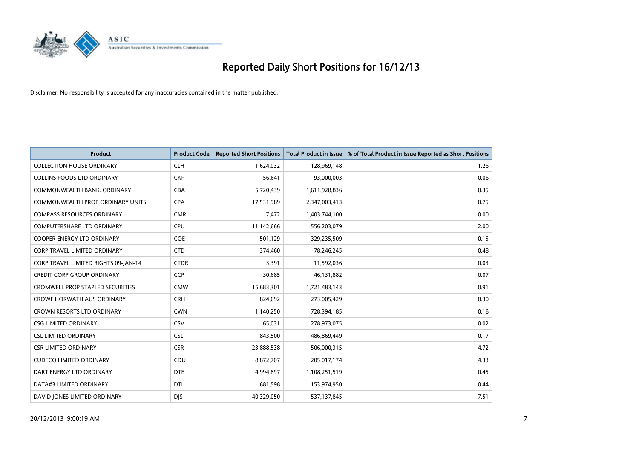

| <b>Product</b>                          | <b>Product Code</b> | <b>Reported Short Positions</b> | <b>Total Product in Issue</b> | % of Total Product in Issue Reported as Short Positions |
|-----------------------------------------|---------------------|---------------------------------|-------------------------------|---------------------------------------------------------|
| <b>COLLECTION HOUSE ORDINARY</b>        | <b>CLH</b>          | 1,624,032                       | 128,969,148                   | 1.26                                                    |
| <b>COLLINS FOODS LTD ORDINARY</b>       | <b>CKF</b>          | 56,641                          | 93,000,003                    | 0.06                                                    |
| COMMONWEALTH BANK, ORDINARY             | <b>CBA</b>          | 5,720,439                       | 1,611,928,836                 | 0.35                                                    |
| COMMONWEALTH PROP ORDINARY UNITS        | <b>CPA</b>          | 17,531,989                      | 2,347,003,413                 | 0.75                                                    |
| <b>COMPASS RESOURCES ORDINARY</b>       | <b>CMR</b>          | 7,472                           | 1,403,744,100                 | 0.00                                                    |
| <b>COMPUTERSHARE LTD ORDINARY</b>       | <b>CPU</b>          | 11,142,666                      | 556,203,079                   | 2.00                                                    |
| <b>COOPER ENERGY LTD ORDINARY</b>       | <b>COE</b>          | 501,129                         | 329,235,509                   | 0.15                                                    |
| <b>CORP TRAVEL LIMITED ORDINARY</b>     | <b>CTD</b>          | 374,460                         | 78,246,245                    | 0.48                                                    |
| CORP TRAVEL LIMITED RIGHTS 09-JAN-14    | <b>CTDR</b>         | 3,391                           | 11,592,036                    | 0.03                                                    |
| <b>CREDIT CORP GROUP ORDINARY</b>       | <b>CCP</b>          | 30,685                          | 46,131,882                    | 0.07                                                    |
| <b>CROMWELL PROP STAPLED SECURITIES</b> | <b>CMW</b>          | 15,683,301                      | 1,721,483,143                 | 0.91                                                    |
| <b>CROWE HORWATH AUS ORDINARY</b>       | <b>CRH</b>          | 824,692                         | 273,005,429                   | 0.30                                                    |
| <b>CROWN RESORTS LTD ORDINARY</b>       | <b>CWN</b>          | 1,140,250                       | 728,394,185                   | 0.16                                                    |
| <b>CSG LIMITED ORDINARY</b>             | CSV                 | 65,031                          | 278,973,075                   | 0.02                                                    |
| <b>CSL LIMITED ORDINARY</b>             | <b>CSL</b>          | 843,500                         | 486,869,449                   | 0.17                                                    |
| <b>CSR LIMITED ORDINARY</b>             | <b>CSR</b>          | 23,888,538                      | 506,000,315                   | 4.72                                                    |
| <b>CUDECO LIMITED ORDINARY</b>          | CDU                 | 8,872,707                       | 205,017,174                   | 4.33                                                    |
| DART ENERGY LTD ORDINARY                | <b>DTE</b>          | 4,994,897                       | 1,108,251,519                 | 0.45                                                    |
| DATA#3 LIMITED ORDINARY                 | <b>DTL</b>          | 681,598                         | 153,974,950                   | 0.44                                                    |
| DAVID JONES LIMITED ORDINARY            | <b>DJS</b>          | 40,329,050                      | 537,137,845                   | 7.51                                                    |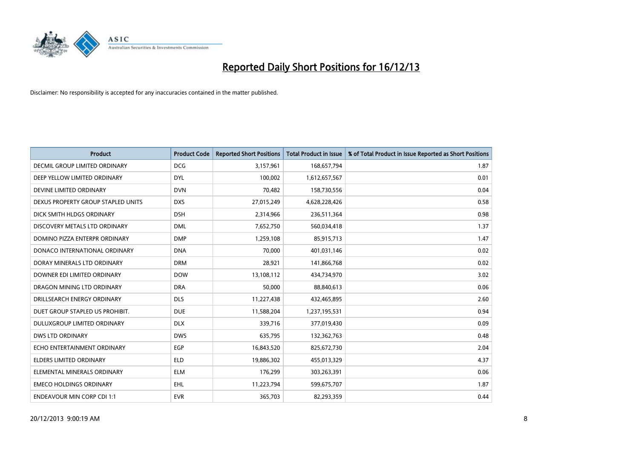

| <b>Product</b>                       | <b>Product Code</b> | <b>Reported Short Positions</b> | <b>Total Product in Issue</b> | % of Total Product in Issue Reported as Short Positions |
|--------------------------------------|---------------------|---------------------------------|-------------------------------|---------------------------------------------------------|
| <b>DECMIL GROUP LIMITED ORDINARY</b> | <b>DCG</b>          | 3,157,961                       | 168,657,794                   | 1.87                                                    |
| DEEP YELLOW LIMITED ORDINARY         | <b>DYL</b>          | 100,002                         | 1,612,657,567                 | 0.01                                                    |
| DEVINE LIMITED ORDINARY              | <b>DVN</b>          | 70,482                          | 158,730,556                   | 0.04                                                    |
| DEXUS PROPERTY GROUP STAPLED UNITS   | <b>DXS</b>          | 27,015,249                      | 4,628,228,426                 | 0.58                                                    |
| DICK SMITH HLDGS ORDINARY            | <b>DSH</b>          | 2,314,966                       | 236,511,364                   | 0.98                                                    |
| DISCOVERY METALS LTD ORDINARY        | <b>DML</b>          | 7,652,750                       | 560,034,418                   | 1.37                                                    |
| DOMINO PIZZA ENTERPR ORDINARY        | <b>DMP</b>          | 1,259,108                       | 85,915,713                    | 1.47                                                    |
| DONACO INTERNATIONAL ORDINARY        | <b>DNA</b>          | 70,000                          | 401,031,146                   | 0.02                                                    |
| DORAY MINERALS LTD ORDINARY          | <b>DRM</b>          | 28,921                          | 141,866,768                   | 0.02                                                    |
| DOWNER EDI LIMITED ORDINARY          | <b>DOW</b>          | 13,108,112                      | 434,734,970                   | 3.02                                                    |
| DRAGON MINING LTD ORDINARY           | <b>DRA</b>          | 50,000                          | 88,840,613                    | 0.06                                                    |
| DRILLSEARCH ENERGY ORDINARY          | <b>DLS</b>          | 11,227,438                      | 432,465,895                   | 2.60                                                    |
| DUET GROUP STAPLED US PROHIBIT.      | <b>DUE</b>          | 11,588,204                      | 1,237,195,531                 | 0.94                                                    |
| DULUXGROUP LIMITED ORDINARY          | <b>DLX</b>          | 339,716                         | 377,019,430                   | 0.09                                                    |
| <b>DWS LTD ORDINARY</b>              | <b>DWS</b>          | 635,795                         | 132,362,763                   | 0.48                                                    |
| ECHO ENTERTAINMENT ORDINARY          | <b>EGP</b>          | 16,843,520                      | 825,672,730                   | 2.04                                                    |
| ELDERS LIMITED ORDINARY              | <b>ELD</b>          | 19,886,302                      | 455,013,329                   | 4.37                                                    |
| ELEMENTAL MINERALS ORDINARY          | <b>ELM</b>          | 176,299                         | 303,263,391                   | 0.06                                                    |
| <b>EMECO HOLDINGS ORDINARY</b>       | <b>EHL</b>          | 11,223,794                      | 599,675,707                   | 1.87                                                    |
| <b>ENDEAVOUR MIN CORP CDI 1:1</b>    | <b>EVR</b>          | 365,703                         | 82,293,359                    | 0.44                                                    |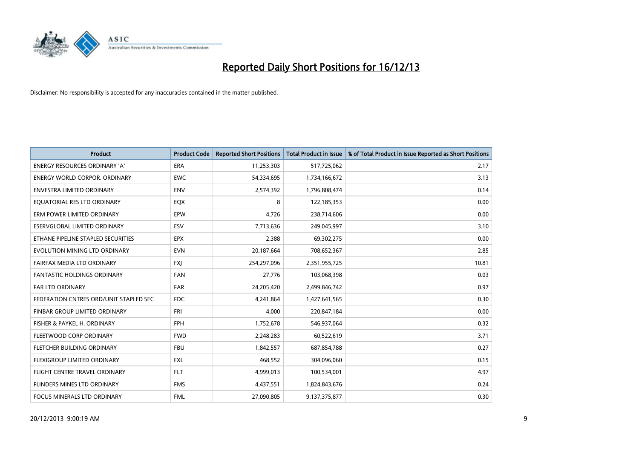

| <b>Product</b>                         | <b>Product Code</b> | <b>Reported Short Positions</b> | <b>Total Product in Issue</b> | % of Total Product in Issue Reported as Short Positions |
|----------------------------------------|---------------------|---------------------------------|-------------------------------|---------------------------------------------------------|
| <b>ENERGY RESOURCES ORDINARY 'A'</b>   | <b>ERA</b>          | 11,253,303                      | 517,725,062                   | 2.17                                                    |
| ENERGY WORLD CORPOR. ORDINARY          | <b>EWC</b>          | 54,334,695                      | 1,734,166,672                 | 3.13                                                    |
| <b>ENVESTRA LIMITED ORDINARY</b>       | <b>ENV</b>          | 2,574,392                       | 1,796,808,474                 | 0.14                                                    |
| EQUATORIAL RES LTD ORDINARY            | EQX                 | 8                               | 122,185,353                   | 0.00                                                    |
| ERM POWER LIMITED ORDINARY             | EPW                 | 4,726                           | 238,714,606                   | 0.00                                                    |
| ESERVGLOBAL LIMITED ORDINARY           | ESV                 | 7,713,636                       | 249,045,997                   | 3.10                                                    |
| ETHANE PIPELINE STAPLED SECURITIES     | <b>EPX</b>          | 2,388                           | 69,302,275                    | 0.00                                                    |
| EVOLUTION MINING LTD ORDINARY          | <b>EVN</b>          | 20,187,664                      | 708,652,367                   | 2.85                                                    |
| FAIRFAX MEDIA LTD ORDINARY             | <b>FXI</b>          | 254,297,096                     | 2,351,955,725                 | 10.81                                                   |
| <b>FANTASTIC HOLDINGS ORDINARY</b>     | <b>FAN</b>          | 27,776                          | 103,068,398                   | 0.03                                                    |
| FAR LTD ORDINARY                       | <b>FAR</b>          | 24,205,420                      | 2,499,846,742                 | 0.97                                                    |
| FEDERATION CNTRES ORD/UNIT STAPLED SEC | <b>FDC</b>          | 4,241,864                       | 1,427,641,565                 | 0.30                                                    |
| FINBAR GROUP LIMITED ORDINARY          | <b>FRI</b>          | 4,000                           | 220,847,184                   | 0.00                                                    |
| FISHER & PAYKEL H. ORDINARY            | FPH                 | 1,752,678                       | 546,937,064                   | 0.32                                                    |
| FLEETWOOD CORP ORDINARY                | <b>FWD</b>          | 2,248,283                       | 60,522,619                    | 3.71                                                    |
| FLETCHER BUILDING ORDINARY             | <b>FBU</b>          | 1,842,557                       | 687,854,788                   | 0.27                                                    |
| FLEXIGROUP LIMITED ORDINARY            | <b>FXL</b>          | 468,552                         | 304,096,060                   | 0.15                                                    |
| FLIGHT CENTRE TRAVEL ORDINARY          | <b>FLT</b>          | 4,999,013                       | 100,534,001                   | 4.97                                                    |
| FLINDERS MINES LTD ORDINARY            | <b>FMS</b>          | 4,437,551                       | 1,824,843,676                 | 0.24                                                    |
| FOCUS MINERALS LTD ORDINARY            | <b>FML</b>          | 27,090,805                      | 9,137,375,877                 | 0.30                                                    |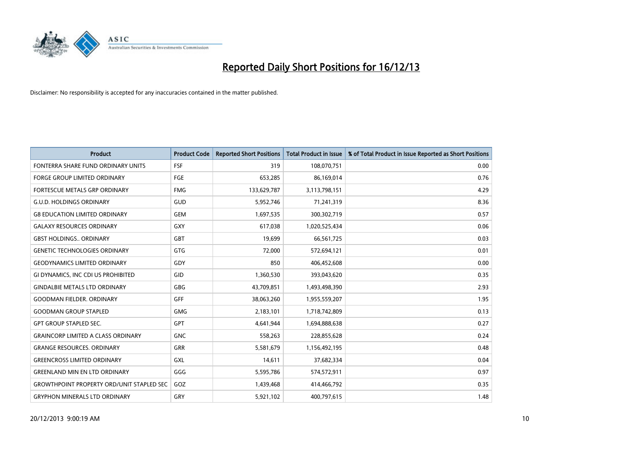

| <b>Product</b>                                   | <b>Product Code</b> | <b>Reported Short Positions</b> | <b>Total Product in Issue</b> | % of Total Product in Issue Reported as Short Positions |
|--------------------------------------------------|---------------------|---------------------------------|-------------------------------|---------------------------------------------------------|
| FONTERRA SHARE FUND ORDINARY UNITS               | <b>FSF</b>          | 319                             | 108,070,751                   | 0.00                                                    |
| <b>FORGE GROUP LIMITED ORDINARY</b>              | <b>FGE</b>          | 653,285                         | 86,169,014                    | 0.76                                                    |
| FORTESCUE METALS GRP ORDINARY                    | <b>FMG</b>          | 133,629,787                     | 3,113,798,151                 | 4.29                                                    |
| <b>G.U.D. HOLDINGS ORDINARY</b>                  | GUD                 | 5,952,746                       | 71,241,319                    | 8.36                                                    |
| <b>G8 EDUCATION LIMITED ORDINARY</b>             | <b>GEM</b>          | 1,697,535                       | 300,302,719                   | 0.57                                                    |
| <b>GALAXY RESOURCES ORDINARY</b>                 | <b>GXY</b>          | 617,038                         | 1,020,525,434                 | 0.06                                                    |
| <b>GBST HOLDINGS ORDINARY</b>                    | GBT                 | 19,699                          | 66,561,725                    | 0.03                                                    |
| <b>GENETIC TECHNOLOGIES ORDINARY</b>             | GTG                 | 72,000                          | 572,694,121                   | 0.01                                                    |
| <b>GEODYNAMICS LIMITED ORDINARY</b>              | GDY                 | 850                             | 406,452,608                   | 0.00                                                    |
| GI DYNAMICS, INC CDI US PROHIBITED               | GID                 | 1,360,530                       | 393,043,620                   | 0.35                                                    |
| <b>GINDALBIE METALS LTD ORDINARY</b>             | GBG                 | 43,709,851                      | 1,493,498,390                 | 2.93                                                    |
| <b>GOODMAN FIELDER, ORDINARY</b>                 | <b>GFF</b>          | 38,063,260                      | 1,955,559,207                 | 1.95                                                    |
| <b>GOODMAN GROUP STAPLED</b>                     | <b>GMG</b>          | 2,183,101                       | 1,718,742,809                 | 0.13                                                    |
| <b>GPT GROUP STAPLED SEC.</b>                    | GPT                 | 4,641,944                       | 1,694,888,638                 | 0.27                                                    |
| <b>GRAINCORP LIMITED A CLASS ORDINARY</b>        | <b>GNC</b>          | 558,263                         | 228,855,628                   | 0.24                                                    |
| <b>GRANGE RESOURCES, ORDINARY</b>                | <b>GRR</b>          | 5,581,679                       | 1,156,492,195                 | 0.48                                                    |
| <b>GREENCROSS LIMITED ORDINARY</b>               | <b>GXL</b>          | 14,611                          | 37,682,334                    | 0.04                                                    |
| <b>GREENLAND MIN EN LTD ORDINARY</b>             | GGG                 | 5,595,786                       | 574,572,911                   | 0.97                                                    |
| <b>GROWTHPOINT PROPERTY ORD/UNIT STAPLED SEC</b> | GOZ                 | 1,439,468                       | 414,466,792                   | 0.35                                                    |
| <b>GRYPHON MINERALS LTD ORDINARY</b>             | GRY                 | 5,921,102                       | 400,797,615                   | 1.48                                                    |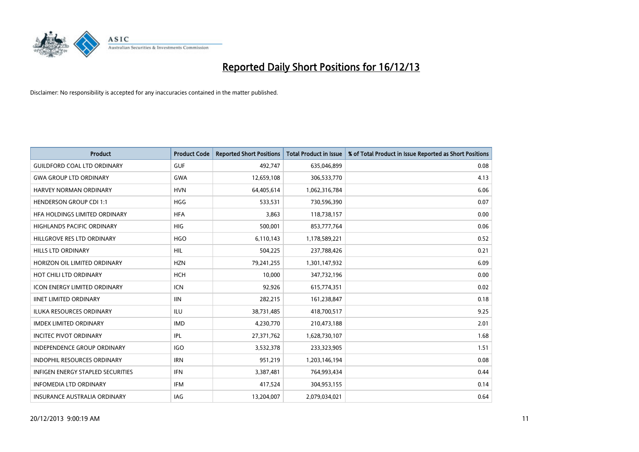

| <b>Product</b>                           | <b>Product Code</b> | <b>Reported Short Positions</b> | <b>Total Product in Issue</b> | % of Total Product in Issue Reported as Short Positions |
|------------------------------------------|---------------------|---------------------------------|-------------------------------|---------------------------------------------------------|
| <b>GUILDFORD COAL LTD ORDINARY</b>       | <b>GUF</b>          | 492,747                         | 635,046,899                   | 0.08                                                    |
| <b>GWA GROUP LTD ORDINARY</b>            | <b>GWA</b>          | 12,659,108                      | 306,533,770                   | 4.13                                                    |
| HARVEY NORMAN ORDINARY                   | <b>HVN</b>          | 64,405,614                      | 1,062,316,784                 | 6.06                                                    |
| <b>HENDERSON GROUP CDI 1:1</b>           | <b>HGG</b>          | 533,531                         | 730,596,390                   | 0.07                                                    |
| HEA HOLDINGS LIMITED ORDINARY            | <b>HFA</b>          | 3,863                           | 118,738,157                   | 0.00                                                    |
| <b>HIGHLANDS PACIFIC ORDINARY</b>        | <b>HIG</b>          | 500,001                         | 853,777,764                   | 0.06                                                    |
| HILLGROVE RES LTD ORDINARY               | <b>HGO</b>          | 6,110,143                       | 1,178,589,221                 | 0.52                                                    |
| HILLS LTD ORDINARY                       | <b>HIL</b>          | 504,225                         | 237,788,426                   | 0.21                                                    |
| HORIZON OIL LIMITED ORDINARY             | <b>HZN</b>          | 79,241,255                      | 1,301,147,932                 | 6.09                                                    |
| HOT CHILI LTD ORDINARY                   | <b>HCH</b>          | 10,000                          | 347,732,196                   | 0.00                                                    |
| <b>ICON ENERGY LIMITED ORDINARY</b>      | <b>ICN</b>          | 92,926                          | 615,774,351                   | 0.02                                                    |
| <b>IINET LIMITED ORDINARY</b>            | <b>IIN</b>          | 282,215                         | 161,238,847                   | 0.18                                                    |
| ILUKA RESOURCES ORDINARY                 | ILU                 | 38,731,485                      | 418,700,517                   | 9.25                                                    |
| <b>IMDEX LIMITED ORDINARY</b>            | <b>IMD</b>          | 4,230,770                       | 210,473,188                   | 2.01                                                    |
| <b>INCITEC PIVOT ORDINARY</b>            | IPL                 | 27,371,762                      | 1,628,730,107                 | 1.68                                                    |
| INDEPENDENCE GROUP ORDINARY              | <b>IGO</b>          | 3,532,378                       | 233,323,905                   | 1.51                                                    |
| INDOPHIL RESOURCES ORDINARY              | <b>IRN</b>          | 951,219                         | 1,203,146,194                 | 0.08                                                    |
| <b>INFIGEN ENERGY STAPLED SECURITIES</b> | <b>IFN</b>          | 3,387,481                       | 764,993,434                   | 0.44                                                    |
| <b>INFOMEDIA LTD ORDINARY</b>            | <b>IFM</b>          | 417,524                         | 304,953,155                   | 0.14                                                    |
| INSURANCE AUSTRALIA ORDINARY             | IAG                 | 13,204,007                      | 2,079,034,021                 | 0.64                                                    |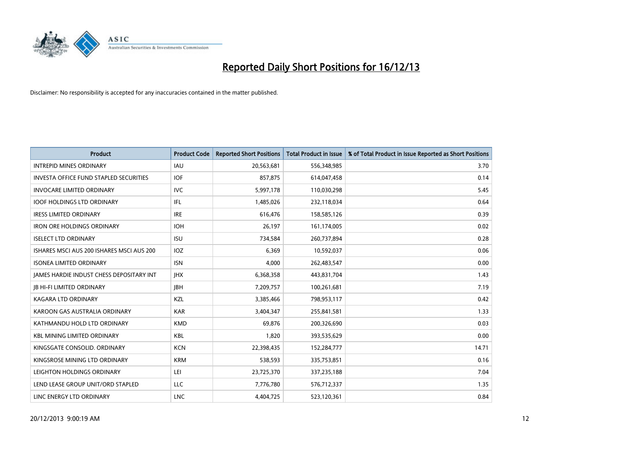

| <b>Product</b>                                | <b>Product Code</b> | <b>Reported Short Positions</b> | <b>Total Product in Issue</b> | % of Total Product in Issue Reported as Short Positions |
|-----------------------------------------------|---------------------|---------------------------------|-------------------------------|---------------------------------------------------------|
| <b>INTREPID MINES ORDINARY</b>                | IAU                 | 20,563,681                      | 556,348,985                   | 3.70                                                    |
| <b>INVESTA OFFICE FUND STAPLED SECURITIES</b> | <b>IOF</b>          | 857,875                         | 614,047,458                   | 0.14                                                    |
| <b>INVOCARE LIMITED ORDINARY</b>              | <b>IVC</b>          | 5,997,178                       | 110,030,298                   | 5.45                                                    |
| <b>IOOF HOLDINGS LTD ORDINARY</b>             | IFL                 | 1,485,026                       | 232,118,034                   | 0.64                                                    |
| <b>IRESS LIMITED ORDINARY</b>                 | <b>IRE</b>          | 616,476                         | 158,585,126                   | 0.39                                                    |
| <b>IRON ORE HOLDINGS ORDINARY</b>             | <b>IOH</b>          | 26,197                          | 161,174,005                   | 0.02                                                    |
| <b>ISELECT LTD ORDINARY</b>                   | <b>ISU</b>          | 734,584                         | 260,737,894                   | 0.28                                                    |
| ISHARES MSCI AUS 200 ISHARES MSCI AUS 200     | IOZ                 | 6,369                           | 10,592,037                    | 0.06                                                    |
| <b>ISONEA LIMITED ORDINARY</b>                | <b>ISN</b>          | 4,000                           | 262,483,547                   | 0.00                                                    |
| JAMES HARDIE INDUST CHESS DEPOSITARY INT      | <b>IHX</b>          | 6,368,358                       | 443,831,704                   | 1.43                                                    |
| <b>JB HI-FI LIMITED ORDINARY</b>              | <b>JBH</b>          | 7,209,757                       | 100,261,681                   | 7.19                                                    |
| <b>KAGARA LTD ORDINARY</b>                    | KZL                 | 3,385,466                       | 798,953,117                   | 0.42                                                    |
| KAROON GAS AUSTRALIA ORDINARY                 | <b>KAR</b>          | 3,404,347                       | 255,841,581                   | 1.33                                                    |
| KATHMANDU HOLD LTD ORDINARY                   | <b>KMD</b>          | 69,876                          | 200,326,690                   | 0.03                                                    |
| <b>KBL MINING LIMITED ORDINARY</b>            | <b>KBL</b>          | 1,820                           | 393,535,629                   | 0.00                                                    |
| KINGSGATE CONSOLID. ORDINARY                  | <b>KCN</b>          | 22,398,435                      | 152,284,777                   | 14.71                                                   |
| KINGSROSE MINING LTD ORDINARY                 | <b>KRM</b>          | 538,593                         | 335,753,851                   | 0.16                                                    |
| LEIGHTON HOLDINGS ORDINARY                    | LEI                 | 23,725,370                      | 337,235,188                   | 7.04                                                    |
| LEND LEASE GROUP UNIT/ORD STAPLED             | LLC                 | 7,776,780                       | 576,712,337                   | 1.35                                                    |
| LINC ENERGY LTD ORDINARY                      | LNC                 | 4,404,725                       | 523,120,361                   | 0.84                                                    |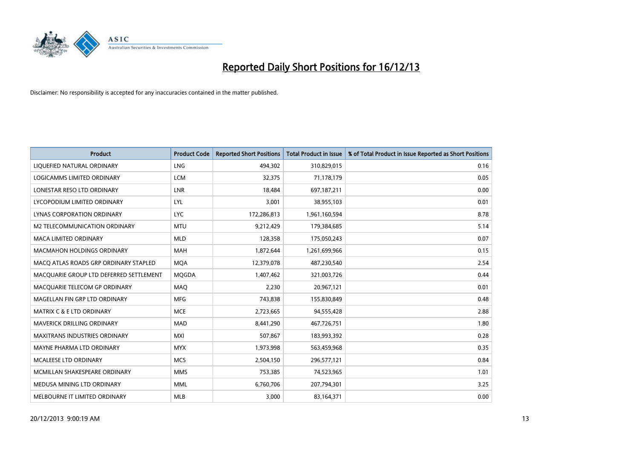

| <b>Product</b>                          | <b>Product Code</b> | <b>Reported Short Positions</b> | <b>Total Product in Issue</b> | % of Total Product in Issue Reported as Short Positions |
|-----------------------------------------|---------------------|---------------------------------|-------------------------------|---------------------------------------------------------|
| LIQUEFIED NATURAL ORDINARY              | <b>LNG</b>          | 494.302                         | 310,829,015                   | 0.16                                                    |
| LOGICAMMS LIMITED ORDINARY              | <b>LCM</b>          | 32,375                          | 71,178,179                    | 0.05                                                    |
| LONESTAR RESO LTD ORDINARY              | <b>LNR</b>          | 18,484                          | 697,187,211                   | 0.00                                                    |
| LYCOPODIUM LIMITED ORDINARY             | LYL                 | 3,001                           | 38,955,103                    | 0.01                                                    |
| LYNAS CORPORATION ORDINARY              | <b>LYC</b>          | 172,286,813                     | 1,961,160,594                 | 8.78                                                    |
| M2 TELECOMMUNICATION ORDINARY           | <b>MTU</b>          | 9,212,429                       | 179,384,685                   | 5.14                                                    |
| <b>MACA LIMITED ORDINARY</b>            | <b>MLD</b>          | 128,358                         | 175,050,243                   | 0.07                                                    |
| MACMAHON HOLDINGS ORDINARY              | <b>MAH</b>          | 1,872,644                       | 1,261,699,966                 | 0.15                                                    |
| MACO ATLAS ROADS GRP ORDINARY STAPLED   | <b>MOA</b>          | 12,379,078                      | 487,230,540                   | 2.54                                                    |
| MACQUARIE GROUP LTD DEFERRED SETTLEMENT | MQGDA               | 1,407,462                       | 321,003,726                   | 0.44                                                    |
| MACQUARIE TELECOM GP ORDINARY           | MAQ                 | 2,230                           | 20,967,121                    | 0.01                                                    |
| MAGELLAN FIN GRP LTD ORDINARY           | <b>MFG</b>          | 743,838                         | 155,830,849                   | 0.48                                                    |
| <b>MATRIX C &amp; E LTD ORDINARY</b>    | <b>MCE</b>          | 2,723,665                       | 94,555,428                    | 2.88                                                    |
| MAVERICK DRILLING ORDINARY              | MAD                 | 8,441,290                       | 467,726,751                   | 1.80                                                    |
| <b>MAXITRANS INDUSTRIES ORDINARY</b>    | <b>MXI</b>          | 507,867                         | 183,993,392                   | 0.28                                                    |
| MAYNE PHARMA LTD ORDINARY               | <b>MYX</b>          | 1,973,998                       | 563,459,968                   | 0.35                                                    |
| MCALEESE LTD ORDINARY                   | <b>MCS</b>          | 2,504,150                       | 296,577,121                   | 0.84                                                    |
| MCMILLAN SHAKESPEARE ORDINARY           | <b>MMS</b>          | 753,385                         | 74,523,965                    | 1.01                                                    |
| MEDUSA MINING LTD ORDINARY              | <b>MML</b>          | 6,760,706                       | 207,794,301                   | 3.25                                                    |
| MELBOURNE IT LIMITED ORDINARY           | <b>MLB</b>          | 3,000                           | 83,164,371                    | 0.00                                                    |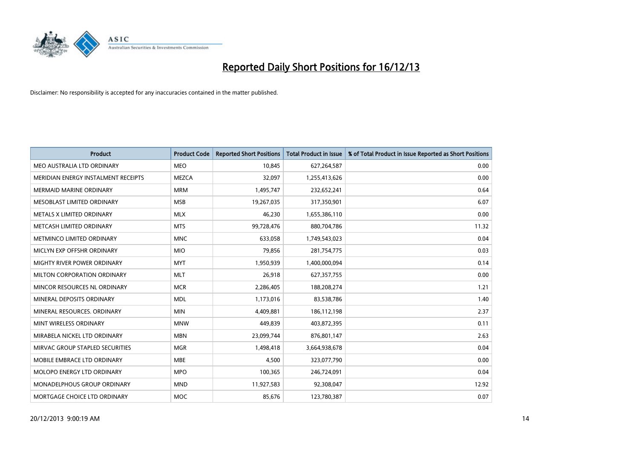

| <b>Product</b>                      | <b>Product Code</b> | <b>Reported Short Positions</b> | <b>Total Product in Issue</b> | % of Total Product in Issue Reported as Short Positions |
|-------------------------------------|---------------------|---------------------------------|-------------------------------|---------------------------------------------------------|
| MEO AUSTRALIA LTD ORDINARY          | <b>MEO</b>          | 10,845                          | 627,264,587                   | 0.00                                                    |
| MERIDIAN ENERGY INSTALMENT RECEIPTS | <b>MEZCA</b>        | 32,097                          | 1,255,413,626                 | 0.00                                                    |
| <b>MERMAID MARINE ORDINARY</b>      | <b>MRM</b>          | 1,495,747                       | 232,652,241                   | 0.64                                                    |
| MESOBLAST LIMITED ORDINARY          | <b>MSB</b>          | 19,267,035                      | 317,350,901                   | 6.07                                                    |
| METALS X LIMITED ORDINARY           | <b>MLX</b>          | 46,230                          | 1,655,386,110                 | 0.00                                                    |
| METCASH LIMITED ORDINARY            | <b>MTS</b>          | 99,728,476                      | 880,704,786                   | 11.32                                                   |
| METMINCO LIMITED ORDINARY           | <b>MNC</b>          | 633,058                         | 1,749,543,023                 | 0.04                                                    |
| MICLYN EXP OFFSHR ORDINARY          | <b>MIO</b>          | 79,856                          | 281,754,775                   | 0.03                                                    |
| MIGHTY RIVER POWER ORDINARY         | <b>MYT</b>          | 1,950,939                       | 1,400,000,094                 | 0.14                                                    |
| MILTON CORPORATION ORDINARY         | <b>MLT</b>          | 26,918                          | 627,357,755                   | 0.00                                                    |
| MINCOR RESOURCES NL ORDINARY        | <b>MCR</b>          | 2,286,405                       | 188,208,274                   | 1.21                                                    |
| MINERAL DEPOSITS ORDINARY           | <b>MDL</b>          | 1,173,016                       | 83,538,786                    | 1.40                                                    |
| MINERAL RESOURCES, ORDINARY         | <b>MIN</b>          | 4,409,881                       | 186,112,198                   | 2.37                                                    |
| MINT WIRELESS ORDINARY              | <b>MNW</b>          | 449,839                         | 403,872,395                   | 0.11                                                    |
| MIRABELA NICKEL LTD ORDINARY        | <b>MBN</b>          | 23,099,744                      | 876,801,147                   | 2.63                                                    |
| MIRVAC GROUP STAPLED SECURITIES     | <b>MGR</b>          | 1,498,418                       | 3,664,938,678                 | 0.04                                                    |
| MOBILE EMBRACE LTD ORDINARY         | <b>MBE</b>          | 4,500                           | 323,077,790                   | 0.00                                                    |
| MOLOPO ENERGY LTD ORDINARY          | <b>MPO</b>          | 100,365                         | 246,724,091                   | 0.04                                                    |
| MONADELPHOUS GROUP ORDINARY         | <b>MND</b>          | 11,927,583                      | 92,308,047                    | 12.92                                                   |
| MORTGAGE CHOICE LTD ORDINARY        | <b>MOC</b>          | 85,676                          | 123,780,387                   | 0.07                                                    |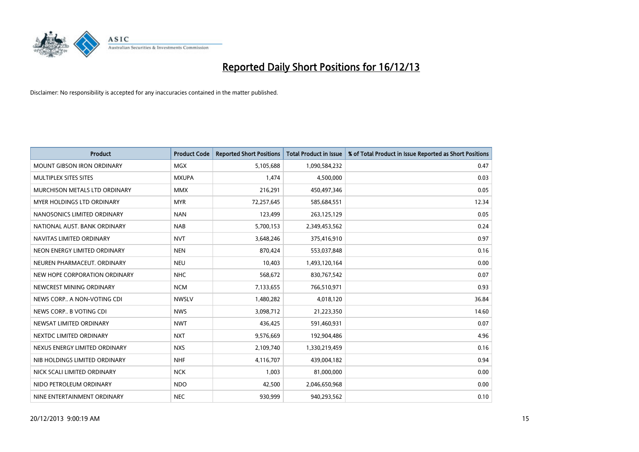

| <b>Product</b>                    | <b>Product Code</b> | <b>Reported Short Positions</b> | <b>Total Product in Issue</b> | % of Total Product in Issue Reported as Short Positions |
|-----------------------------------|---------------------|---------------------------------|-------------------------------|---------------------------------------------------------|
| <b>MOUNT GIBSON IRON ORDINARY</b> | MGX                 | 5,105,688                       | 1,090,584,232                 | 0.47                                                    |
| MULTIPLEX SITES SITES             | <b>MXUPA</b>        | 1,474                           | 4,500,000                     | 0.03                                                    |
| MURCHISON METALS LTD ORDINARY     | <b>MMX</b>          | 216,291                         | 450,497,346                   | 0.05                                                    |
| MYER HOLDINGS LTD ORDINARY        | <b>MYR</b>          | 72,257,645                      | 585,684,551                   | 12.34                                                   |
| NANOSONICS LIMITED ORDINARY       | <b>NAN</b>          | 123,499                         | 263,125,129                   | 0.05                                                    |
| NATIONAL AUST. BANK ORDINARY      | <b>NAB</b>          | 5,700,153                       | 2,349,453,562                 | 0.24                                                    |
| NAVITAS LIMITED ORDINARY          | <b>NVT</b>          | 3,648,246                       | 375,416,910                   | 0.97                                                    |
| NEON ENERGY LIMITED ORDINARY      | <b>NEN</b>          | 870,424                         | 553,037,848                   | 0.16                                                    |
| NEUREN PHARMACEUT, ORDINARY       | <b>NEU</b>          | 10,403                          | 1,493,120,164                 | 0.00                                                    |
| NEW HOPE CORPORATION ORDINARY     | <b>NHC</b>          | 568,672                         | 830,767,542                   | 0.07                                                    |
| NEWCREST MINING ORDINARY          | <b>NCM</b>          | 7,133,655                       | 766,510,971                   | 0.93                                                    |
| NEWS CORP A NON-VOTING CDI        | <b>NWSLV</b>        | 1,480,282                       | 4,018,120                     | 36.84                                                   |
| NEWS CORP B VOTING CDI            | <b>NWS</b>          | 3,098,712                       | 21,223,350                    | 14.60                                                   |
| NEWSAT LIMITED ORDINARY           | <b>NWT</b>          | 436,425                         | 591,460,931                   | 0.07                                                    |
| NEXTDC LIMITED ORDINARY           | <b>NXT</b>          | 9,576,669                       | 192,904,486                   | 4.96                                                    |
| NEXUS ENERGY LIMITED ORDINARY     | <b>NXS</b>          | 2,109,740                       | 1,330,219,459                 | 0.16                                                    |
| NIB HOLDINGS LIMITED ORDINARY     | <b>NHF</b>          | 4,116,707                       | 439,004,182                   | 0.94                                                    |
| NICK SCALI LIMITED ORDINARY       | <b>NCK</b>          | 1,003                           | 81,000,000                    | 0.00                                                    |
| NIDO PETROLEUM ORDINARY           | <b>NDO</b>          | 42,500                          | 2,046,650,968                 | 0.00                                                    |
| NINE ENTERTAINMENT ORDINARY       | <b>NEC</b>          | 930,999                         | 940,293,562                   | 0.10                                                    |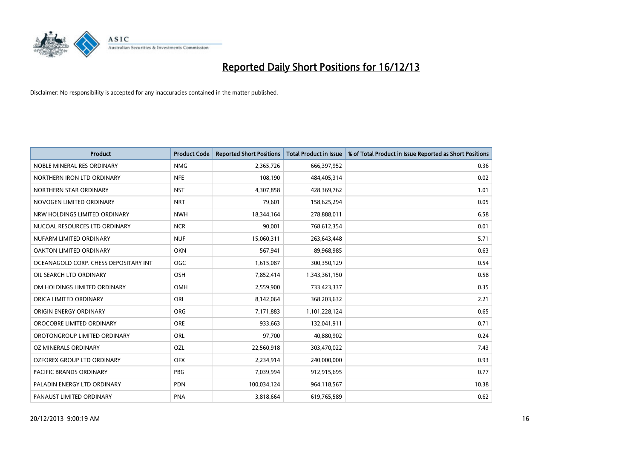

| <b>Product</b>                        | <b>Product Code</b> | <b>Reported Short Positions</b> | <b>Total Product in Issue</b> | % of Total Product in Issue Reported as Short Positions |
|---------------------------------------|---------------------|---------------------------------|-------------------------------|---------------------------------------------------------|
| NOBLE MINERAL RES ORDINARY            | <b>NMG</b>          | 2,365,726                       | 666,397,952                   | 0.36                                                    |
| NORTHERN IRON LTD ORDINARY            | <b>NFE</b>          | 108,190                         | 484,405,314                   | 0.02                                                    |
| NORTHERN STAR ORDINARY                | <b>NST</b>          | 4,307,858                       | 428,369,762                   | 1.01                                                    |
| NOVOGEN LIMITED ORDINARY              | <b>NRT</b>          | 79,601                          | 158,625,294                   | 0.05                                                    |
| NRW HOLDINGS LIMITED ORDINARY         | <b>NWH</b>          | 18,344,164                      | 278,888,011                   | 6.58                                                    |
| NUCOAL RESOURCES LTD ORDINARY         | <b>NCR</b>          | 90,001                          | 768,612,354                   | 0.01                                                    |
| NUFARM LIMITED ORDINARY               | <b>NUF</b>          | 15,060,311                      | 263,643,448                   | 5.71                                                    |
| OAKTON LIMITED ORDINARY               | <b>OKN</b>          | 567,941                         | 89,968,985                    | 0.63                                                    |
| OCEANAGOLD CORP. CHESS DEPOSITARY INT | <b>OGC</b>          | 1,615,087                       | 300,350,129                   | 0.54                                                    |
| OIL SEARCH LTD ORDINARY               | OSH                 | 7,852,414                       | 1,343,361,150                 | 0.58                                                    |
| OM HOLDINGS LIMITED ORDINARY          | <b>OMH</b>          | 2,559,900                       | 733,423,337                   | 0.35                                                    |
| ORICA LIMITED ORDINARY                | ORI                 | 8,142,064                       | 368,203,632                   | 2.21                                                    |
| ORIGIN ENERGY ORDINARY                | <b>ORG</b>          | 7,171,883                       | 1,101,228,124                 | 0.65                                                    |
| OROCOBRE LIMITED ORDINARY             | <b>ORE</b>          | 933,663                         | 132,041,911                   | 0.71                                                    |
| OROTONGROUP LIMITED ORDINARY          | ORL                 | 97,700                          | 40,880,902                    | 0.24                                                    |
| OZ MINERALS ORDINARY                  | <b>OZL</b>          | 22,560,918                      | 303,470,022                   | 7.43                                                    |
| OZFOREX GROUP LTD ORDINARY            | <b>OFX</b>          | 2,234,914                       | 240,000,000                   | 0.93                                                    |
| PACIFIC BRANDS ORDINARY               | <b>PBG</b>          | 7,039,994                       | 912,915,695                   | 0.77                                                    |
| PALADIN ENERGY LTD ORDINARY           | <b>PDN</b>          | 100,034,124                     | 964,118,567                   | 10.38                                                   |
| PANAUST LIMITED ORDINARY              | <b>PNA</b>          | 3,818,664                       | 619,765,589                   | 0.62                                                    |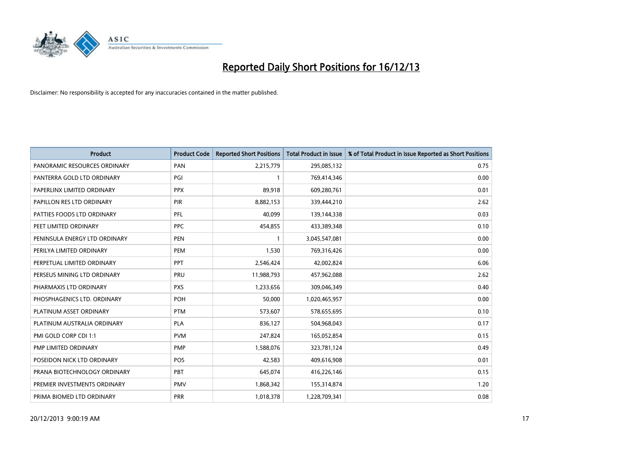

| <b>Product</b>                | <b>Product Code</b> | <b>Reported Short Positions</b> | <b>Total Product in Issue</b> | % of Total Product in Issue Reported as Short Positions |
|-------------------------------|---------------------|---------------------------------|-------------------------------|---------------------------------------------------------|
| PANORAMIC RESOURCES ORDINARY  | PAN                 | 2,215,779                       | 295,085,132                   | 0.75                                                    |
| PANTERRA GOLD LTD ORDINARY    | PGI                 |                                 | 769,414,346                   | 0.00                                                    |
| PAPERLINX LIMITED ORDINARY    | <b>PPX</b>          | 89,918                          | 609,280,761                   | 0.01                                                    |
| PAPILLON RES LTD ORDINARY     | <b>PIR</b>          | 8,882,153                       | 339,444,210                   | 2.62                                                    |
| PATTIES FOODS LTD ORDINARY    | PFL                 | 40,099                          | 139,144,338                   | 0.03                                                    |
| PEET LIMITED ORDINARY         | <b>PPC</b>          | 454,855                         | 433,389,348                   | 0.10                                                    |
| PENINSULA ENERGY LTD ORDINARY | <b>PEN</b>          |                                 | 3,045,547,081                 | 0.00                                                    |
| PERILYA LIMITED ORDINARY      | PEM                 | 1,530                           | 769,316,426                   | 0.00                                                    |
| PERPETUAL LIMITED ORDINARY    | PPT                 | 2,546,424                       | 42,002,824                    | 6.06                                                    |
| PERSEUS MINING LTD ORDINARY   | PRU                 | 11,988,793                      | 457,962,088                   | 2.62                                                    |
| PHARMAXIS LTD ORDINARY        | <b>PXS</b>          | 1,233,656                       | 309,046,349                   | 0.40                                                    |
| PHOSPHAGENICS LTD. ORDINARY   | <b>POH</b>          | 50,000                          | 1,020,465,957                 | 0.00                                                    |
| PLATINUM ASSET ORDINARY       | <b>PTM</b>          | 573,607                         | 578,655,695                   | 0.10                                                    |
| PLATINUM AUSTRALIA ORDINARY   | <b>PLA</b>          | 836,127                         | 504,968,043                   | 0.17                                                    |
| PMI GOLD CORP CDI 1:1         | <b>PVM</b>          | 247,824                         | 165,052,854                   | 0.15                                                    |
| PMP LIMITED ORDINARY          | <b>PMP</b>          | 1,588,076                       | 323,781,124                   | 0.49                                                    |
| POSEIDON NICK LTD ORDINARY    | POS                 | 42,583                          | 409,616,908                   | 0.01                                                    |
| PRANA BIOTECHNOLOGY ORDINARY  | <b>PBT</b>          | 645,074                         | 416,226,146                   | 0.15                                                    |
| PREMIER INVESTMENTS ORDINARY  | <b>PMV</b>          | 1,868,342                       | 155,314,874                   | 1.20                                                    |
| PRIMA BIOMED LTD ORDINARY     | <b>PRR</b>          | 1,018,378                       | 1,228,709,341                 | 0.08                                                    |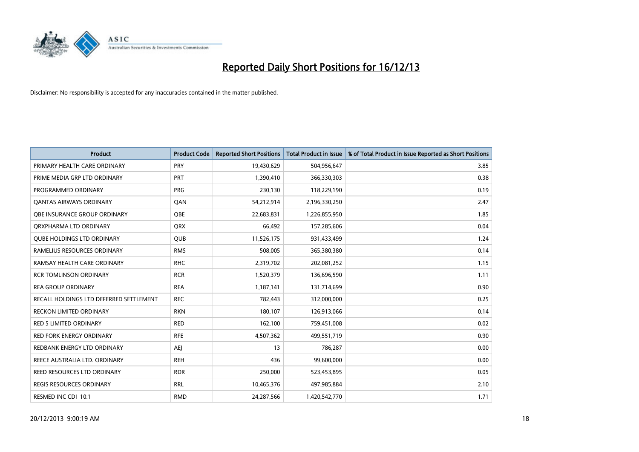

| <b>Product</b>                          | <b>Product Code</b> | <b>Reported Short Positions</b> | <b>Total Product in Issue</b> | % of Total Product in Issue Reported as Short Positions |
|-----------------------------------------|---------------------|---------------------------------|-------------------------------|---------------------------------------------------------|
| PRIMARY HEALTH CARE ORDINARY            | <b>PRY</b>          | 19,430,629                      | 504,956,647                   | 3.85                                                    |
| PRIME MEDIA GRP LTD ORDINARY            | PRT                 | 1,390,410                       | 366,330,303                   | 0.38                                                    |
| PROGRAMMED ORDINARY                     | <b>PRG</b>          | 230,130                         | 118,229,190                   | 0.19                                                    |
| <b>QANTAS AIRWAYS ORDINARY</b>          | QAN                 | 54,212,914                      | 2,196,330,250                 | 2.47                                                    |
| OBE INSURANCE GROUP ORDINARY            | OBE                 | 22,683,831                      | 1,226,855,950                 | 1.85                                                    |
| ORXPHARMA LTD ORDINARY                  | <b>ORX</b>          | 66,492                          | 157,285,606                   | 0.04                                                    |
| <b>QUBE HOLDINGS LTD ORDINARY</b>       | <b>QUB</b>          | 11,526,175                      | 931,433,499                   | 1.24                                                    |
| RAMELIUS RESOURCES ORDINARY             | <b>RMS</b>          | 508,005                         | 365,380,380                   | 0.14                                                    |
| RAMSAY HEALTH CARE ORDINARY             | <b>RHC</b>          | 2,319,702                       | 202,081,252                   | 1.15                                                    |
| <b>RCR TOMLINSON ORDINARY</b>           | <b>RCR</b>          | 1,520,379                       | 136,696,590                   | 1.11                                                    |
| <b>REA GROUP ORDINARY</b>               | <b>REA</b>          | 1,187,141                       | 131,714,699                   | 0.90                                                    |
| RECALL HOLDINGS LTD DEFERRED SETTLEMENT | <b>REC</b>          | 782,443                         | 312,000,000                   | 0.25                                                    |
| <b>RECKON LIMITED ORDINARY</b>          | <b>RKN</b>          | 180,107                         | 126,913,066                   | 0.14                                                    |
| <b>RED 5 LIMITED ORDINARY</b>           | <b>RED</b>          | 162,100                         | 759,451,008                   | 0.02                                                    |
| <b>RED FORK ENERGY ORDINARY</b>         | <b>RFE</b>          | 4,507,362                       | 499,551,719                   | 0.90                                                    |
| REDBANK ENERGY LTD ORDINARY             | <b>AEI</b>          | 13                              | 786,287                       | 0.00                                                    |
| REECE AUSTRALIA LTD. ORDINARY           | <b>REH</b>          | 436                             | 99,600,000                    | 0.00                                                    |
| REED RESOURCES LTD ORDINARY             | <b>RDR</b>          | 250,000                         | 523,453,895                   | 0.05                                                    |
| <b>REGIS RESOURCES ORDINARY</b>         | <b>RRL</b>          | 10,465,376                      | 497,985,884                   | 2.10                                                    |
| RESMED INC CDI 10:1                     | <b>RMD</b>          | 24,287,566                      | 1,420,542,770                 | 1.71                                                    |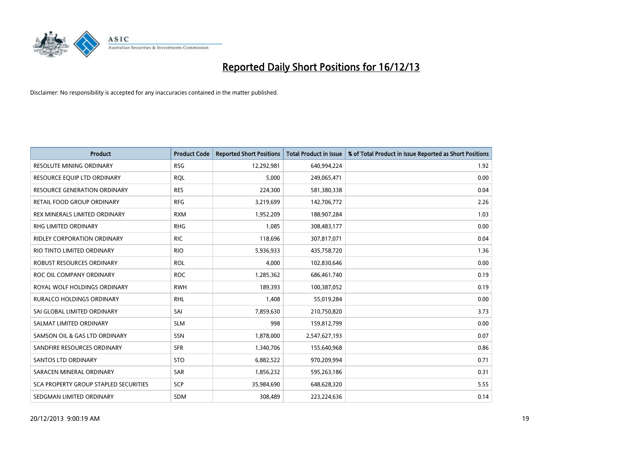

| <b>Product</b>                        | <b>Product Code</b> | <b>Reported Short Positions</b> | <b>Total Product in Issue</b> | % of Total Product in Issue Reported as Short Positions |
|---------------------------------------|---------------------|---------------------------------|-------------------------------|---------------------------------------------------------|
| <b>RESOLUTE MINING ORDINARY</b>       | <b>RSG</b>          | 12,292,981                      | 640,994,224                   | 1.92                                                    |
| RESOURCE EQUIP LTD ORDINARY           | <b>RQL</b>          | 5,000                           | 249,065,471                   | 0.00                                                    |
| <b>RESOURCE GENERATION ORDINARY</b>   | <b>RES</b>          | 224,300                         | 581,380,338                   | 0.04                                                    |
| <b>RETAIL FOOD GROUP ORDINARY</b>     | <b>RFG</b>          | 3,219,699                       | 142,706,772                   | 2.26                                                    |
| REX MINERALS LIMITED ORDINARY         | <b>RXM</b>          | 1,952,209                       | 188,907,284                   | 1.03                                                    |
| RHG LIMITED ORDINARY                  | <b>RHG</b>          | 1,085                           | 308,483,177                   | 0.00                                                    |
| RIDLEY CORPORATION ORDINARY           | <b>RIC</b>          | 118,696                         | 307,817,071                   | 0.04                                                    |
| RIO TINTO LIMITED ORDINARY            | <b>RIO</b>          | 5,936,933                       | 435,758,720                   | 1.36                                                    |
| ROBUST RESOURCES ORDINARY             | <b>ROL</b>          | 4,000                           | 102,830,646                   | 0.00                                                    |
| ROC OIL COMPANY ORDINARY              | <b>ROC</b>          | 1,285,362                       | 686,461,740                   | 0.19                                                    |
| ROYAL WOLF HOLDINGS ORDINARY          | <b>RWH</b>          | 189,393                         | 100,387,052                   | 0.19                                                    |
| RURALCO HOLDINGS ORDINARY             | <b>RHL</b>          | 1,408                           | 55,019,284                    | 0.00                                                    |
| SAI GLOBAL LIMITED ORDINARY           | SAI                 | 7,859,630                       | 210,750,820                   | 3.73                                                    |
| SALMAT LIMITED ORDINARY               | <b>SLM</b>          | 998                             | 159,812,799                   | 0.00                                                    |
| SAMSON OIL & GAS LTD ORDINARY         | SSN                 | 1,878,000                       | 2,547,627,193                 | 0.07                                                    |
| SANDFIRE RESOURCES ORDINARY           | <b>SFR</b>          | 1,340,706                       | 155,640,968                   | 0.86                                                    |
| SANTOS LTD ORDINARY                   | <b>STO</b>          | 6,882,522                       | 970,209,994                   | 0.71                                                    |
| SARACEN MINERAL ORDINARY              | <b>SAR</b>          | 1,856,232                       | 595,263,186                   | 0.31                                                    |
| SCA PROPERTY GROUP STAPLED SECURITIES | <b>SCP</b>          | 35,984,690                      | 648,628,320                   | 5.55                                                    |
| SEDGMAN LIMITED ORDINARY              | SDM                 | 308,489                         | 223,224,636                   | 0.14                                                    |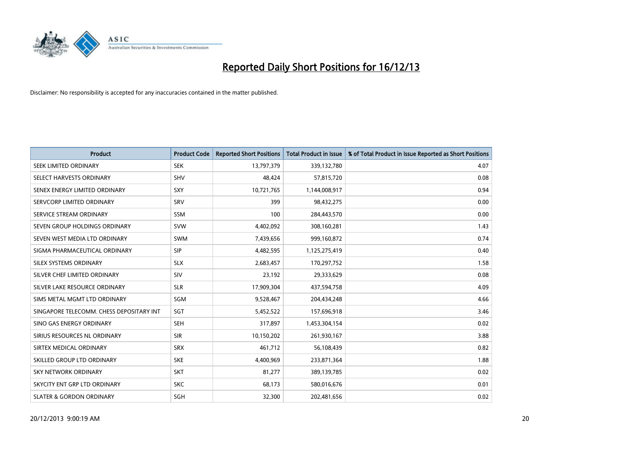

| <b>Product</b>                           | <b>Product Code</b> | <b>Reported Short Positions</b> | <b>Total Product in Issue</b> | % of Total Product in Issue Reported as Short Positions |
|------------------------------------------|---------------------|---------------------------------|-------------------------------|---------------------------------------------------------|
| SEEK LIMITED ORDINARY                    | <b>SEK</b>          | 13,797,379                      | 339,132,780                   | 4.07                                                    |
| SELECT HARVESTS ORDINARY                 | SHV                 | 48,424                          | 57,815,720                    | 0.08                                                    |
| SENEX ENERGY LIMITED ORDINARY            | <b>SXY</b>          | 10,721,765                      | 1,144,008,917                 | 0.94                                                    |
| SERVCORP LIMITED ORDINARY                | SRV                 | 399                             | 98,432,275                    | 0.00                                                    |
| SERVICE STREAM ORDINARY                  | SSM                 | 100                             | 284,443,570                   | 0.00                                                    |
| SEVEN GROUP HOLDINGS ORDINARY            | <b>SVW</b>          | 4,402,092                       | 308,160,281                   | 1.43                                                    |
| SEVEN WEST MEDIA LTD ORDINARY            | <b>SWM</b>          | 7,439,656                       | 999,160,872                   | 0.74                                                    |
| SIGMA PHARMACEUTICAL ORDINARY            | <b>SIP</b>          | 4,482,595                       | 1,125,275,419                 | 0.40                                                    |
| SILEX SYSTEMS ORDINARY                   | <b>SLX</b>          | 2,683,457                       | 170,297,752                   | 1.58                                                    |
| SILVER CHEF LIMITED ORDINARY             | SIV                 | 23,192                          | 29,333,629                    | 0.08                                                    |
| SILVER LAKE RESOURCE ORDINARY            | <b>SLR</b>          | 17,909,304                      | 437,594,758                   | 4.09                                                    |
| SIMS METAL MGMT LTD ORDINARY             | SGM                 | 9,528,467                       | 204,434,248                   | 4.66                                                    |
| SINGAPORE TELECOMM. CHESS DEPOSITARY INT | SGT                 | 5,452,522                       | 157,696,918                   | 3.46                                                    |
| SINO GAS ENERGY ORDINARY                 | SEH                 | 317,897                         | 1,453,304,154                 | 0.02                                                    |
| SIRIUS RESOURCES NL ORDINARY             | <b>SIR</b>          | 10,150,202                      | 261,930,167                   | 3.88                                                    |
| SIRTEX MEDICAL ORDINARY                  | <b>SRX</b>          | 461,712                         | 56,108,439                    | 0.82                                                    |
| SKILLED GROUP LTD ORDINARY               | <b>SKE</b>          | 4,400,969                       | 233,871,364                   | 1.88                                                    |
| SKY NETWORK ORDINARY                     | SKT                 | 81,277                          | 389,139,785                   | 0.02                                                    |
| SKYCITY ENT GRP LTD ORDINARY             | <b>SKC</b>          | 68,173                          | 580,016,676                   | 0.01                                                    |
| <b>SLATER &amp; GORDON ORDINARY</b>      | SGH                 | 32,300                          | 202,481,656                   | 0.02                                                    |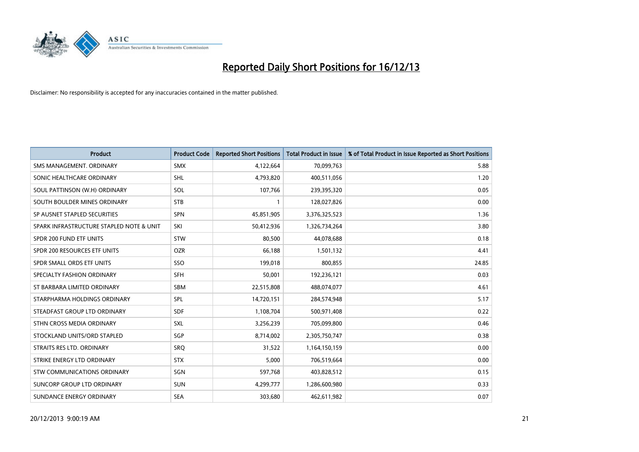

| <b>Product</b>                           | <b>Product Code</b> | <b>Reported Short Positions</b> | <b>Total Product in Issue</b> | % of Total Product in Issue Reported as Short Positions |
|------------------------------------------|---------------------|---------------------------------|-------------------------------|---------------------------------------------------------|
| SMS MANAGEMENT, ORDINARY                 | <b>SMX</b>          | 4,122,664                       | 70,099,763                    | 5.88                                                    |
| SONIC HEALTHCARE ORDINARY                | <b>SHL</b>          | 4,793,820                       | 400,511,056                   | 1.20                                                    |
| SOUL PATTINSON (W.H) ORDINARY            | SOL                 | 107,766                         | 239,395,320                   | 0.05                                                    |
| SOUTH BOULDER MINES ORDINARY             | <b>STB</b>          | 1                               | 128,027,826                   | 0.00                                                    |
| SP AUSNET STAPLED SECURITIES             | SPN                 | 45,851,905                      | 3,376,325,523                 | 1.36                                                    |
| SPARK INFRASTRUCTURE STAPLED NOTE & UNIT | SKI                 | 50,412,936                      | 1,326,734,264                 | 3.80                                                    |
| SPDR 200 FUND ETF UNITS                  | <b>STW</b>          | 80,500                          | 44,078,688                    | 0.18                                                    |
| SPDR 200 RESOURCES ETF UNITS             | <b>OZR</b>          | 66,188                          | 1,501,132                     | 4.41                                                    |
| SPDR SMALL ORDS ETF UNITS                | SSO                 | 199,018                         | 800,855                       | 24.85                                                   |
| SPECIALTY FASHION ORDINARY               | <b>SFH</b>          | 50,001                          | 192,236,121                   | 0.03                                                    |
| ST BARBARA LIMITED ORDINARY              | <b>SBM</b>          | 22,515,808                      | 488,074,077                   | 4.61                                                    |
| STARPHARMA HOLDINGS ORDINARY             | <b>SPL</b>          | 14,720,151                      | 284,574,948                   | 5.17                                                    |
| STEADFAST GROUP LTD ORDINARY             | <b>SDF</b>          | 1,108,704                       | 500,971,408                   | 0.22                                                    |
| STHN CROSS MEDIA ORDINARY                | SXL                 | 3,256,239                       | 705,099,800                   | 0.46                                                    |
| STOCKLAND UNITS/ORD STAPLED              | SGP                 | 8,714,002                       | 2,305,750,747                 | 0.38                                                    |
| STRAITS RES LTD. ORDINARY                | <b>SRQ</b>          | 31,522                          | 1,164,150,159                 | 0.00                                                    |
| STRIKE ENERGY LTD ORDINARY               | <b>STX</b>          | 5,000                           | 706,519,664                   | 0.00                                                    |
| <b>STW COMMUNICATIONS ORDINARY</b>       | SGN                 | 597,768                         | 403,828,512                   | 0.15                                                    |
| SUNCORP GROUP LTD ORDINARY               | <b>SUN</b>          | 4,299,777                       | 1,286,600,980                 | 0.33                                                    |
| SUNDANCE ENERGY ORDINARY                 | <b>SEA</b>          | 303,680                         | 462,611,982                   | 0.07                                                    |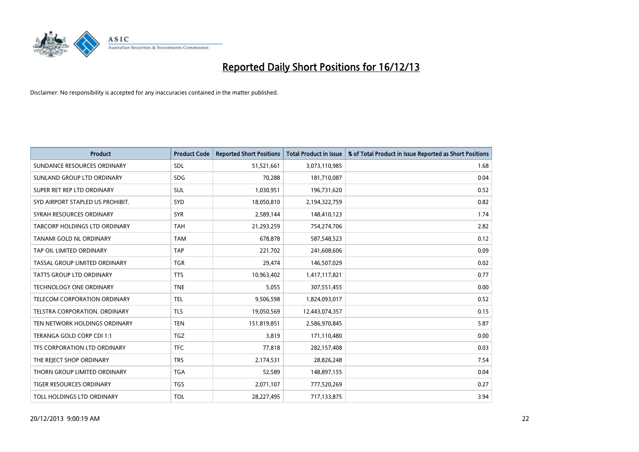

| <b>Product</b>                       | <b>Product Code</b> | <b>Reported Short Positions</b> | <b>Total Product in Issue</b> | % of Total Product in Issue Reported as Short Positions |
|--------------------------------------|---------------------|---------------------------------|-------------------------------|---------------------------------------------------------|
| SUNDANCE RESOURCES ORDINARY          | SDL                 | 51,521,661                      | 3,073,110,985                 | 1.68                                                    |
| SUNLAND GROUP LTD ORDINARY           | <b>SDG</b>          | 70,288                          | 181,710,087                   | 0.04                                                    |
| SUPER RET REP LTD ORDINARY           | SUL                 | 1,030,951                       | 196,731,620                   | 0.52                                                    |
| SYD AIRPORT STAPLED US PROHIBIT.     | SYD                 | 18,050,810                      | 2,194,322,759                 | 0.82                                                    |
| SYRAH RESOURCES ORDINARY             | <b>SYR</b>          | 2,589,144                       | 148,410,123                   | 1.74                                                    |
| <b>TABCORP HOLDINGS LTD ORDINARY</b> | <b>TAH</b>          | 21,293,259                      | 754,274,706                   | 2.82                                                    |
| TANAMI GOLD NL ORDINARY              | <b>TAM</b>          | 678,878                         | 587,548,523                   | 0.12                                                    |
| TAP OIL LIMITED ORDINARY             | <b>TAP</b>          | 221,702                         | 241,608,606                   | 0.09                                                    |
| TASSAL GROUP LIMITED ORDINARY        | <b>TGR</b>          | 29,474                          | 146,507,029                   | 0.02                                                    |
| TATTS GROUP LTD ORDINARY             | <b>TTS</b>          | 10,963,402                      | 1,417,117,821                 | 0.77                                                    |
| <b>TECHNOLOGY ONE ORDINARY</b>       | <b>TNE</b>          | 5,055                           | 307,551,455                   | 0.00                                                    |
| TELECOM CORPORATION ORDINARY         | <b>TEL</b>          | 9,506,598                       | 1,824,093,017                 | 0.52                                                    |
| <b>TELSTRA CORPORATION, ORDINARY</b> | <b>TLS</b>          | 19,050,569                      | 12,443,074,357                | 0.15                                                    |
| TEN NETWORK HOLDINGS ORDINARY        | <b>TEN</b>          | 151,819,851                     | 2,586,970,845                 | 5.87                                                    |
| TERANGA GOLD CORP CDI 1:1            | <b>TGZ</b>          | 3,819                           | 171,110,480                   | 0.00                                                    |
| TFS CORPORATION LTD ORDINARY         | <b>TFC</b>          | 77,818                          | 282,157,408                   | 0.03                                                    |
| THE REJECT SHOP ORDINARY             | <b>TRS</b>          | 2,174,531                       | 28,826,248                    | 7.54                                                    |
| THORN GROUP LIMITED ORDINARY         | <b>TGA</b>          | 52,589                          | 148,897,155                   | 0.04                                                    |
| TIGER RESOURCES ORDINARY             | <b>TGS</b>          | 2,071,107                       | 777,520,269                   | 0.27                                                    |
| TOLL HOLDINGS LTD ORDINARY           | <b>TOL</b>          | 28,227,495                      | 717,133,875                   | 3.94                                                    |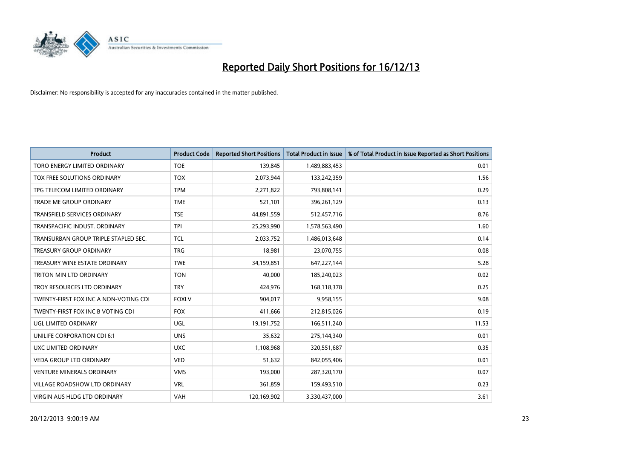

| Product                               | <b>Product Code</b> | <b>Reported Short Positions</b> | <b>Total Product in Issue</b> | % of Total Product in Issue Reported as Short Positions |
|---------------------------------------|---------------------|---------------------------------|-------------------------------|---------------------------------------------------------|
| <b>TORO ENERGY LIMITED ORDINARY</b>   | <b>TOE</b>          | 139,845                         | 1,489,883,453                 | 0.01                                                    |
| TOX FREE SOLUTIONS ORDINARY           | <b>TOX</b>          | 2,073,944                       | 133,242,359                   | 1.56                                                    |
| TPG TELECOM LIMITED ORDINARY          | <b>TPM</b>          | 2,271,822                       | 793,808,141                   | 0.29                                                    |
| TRADE ME GROUP ORDINARY               | <b>TME</b>          | 521,101                         | 396,261,129                   | 0.13                                                    |
| <b>TRANSFIELD SERVICES ORDINARY</b>   | <b>TSE</b>          | 44,891,559                      | 512,457,716                   | 8.76                                                    |
| TRANSPACIFIC INDUST, ORDINARY         | <b>TPI</b>          | 25,293,990                      | 1,578,563,490                 | 1.60                                                    |
| TRANSURBAN GROUP TRIPLE STAPLED SEC.  | <b>TCL</b>          | 2,033,752                       | 1,486,013,648                 | 0.14                                                    |
| TREASURY GROUP ORDINARY               | <b>TRG</b>          | 18,981                          | 23,070,755                    | 0.08                                                    |
| TREASURY WINE ESTATE ORDINARY         | <b>TWE</b>          | 34,159,851                      | 647,227,144                   | 5.28                                                    |
| TRITON MIN LTD ORDINARY               | <b>TON</b>          | 40,000                          | 185,240,023                   | 0.02                                                    |
| TROY RESOURCES LTD ORDINARY           | <b>TRY</b>          | 424,976                         | 168,118,378                   | 0.25                                                    |
| TWENTY-FIRST FOX INC A NON-VOTING CDI | <b>FOXLV</b>        | 904,017                         | 9,958,155                     | 9.08                                                    |
| TWENTY-FIRST FOX INC B VOTING CDI     | <b>FOX</b>          | 411,666                         | 212,815,026                   | 0.19                                                    |
| UGL LIMITED ORDINARY                  | UGL                 | 19,191,752                      | 166,511,240                   | 11.53                                                   |
| UNILIFE CORPORATION CDI 6:1           | <b>UNS</b>          | 35,632                          | 275,144,340                   | 0.01                                                    |
| UXC LIMITED ORDINARY                  | <b>UXC</b>          | 1,108,968                       | 320,551,687                   | 0.35                                                    |
| VEDA GROUP LTD ORDINARY               | <b>VED</b>          | 51,632                          | 842,055,406                   | 0.01                                                    |
| <b>VENTURE MINERALS ORDINARY</b>      | <b>VMS</b>          | 193,000                         | 287,320,170                   | 0.07                                                    |
| <b>VILLAGE ROADSHOW LTD ORDINARY</b>  | <b>VRL</b>          | 361,859                         | 159,493,510                   | 0.23                                                    |
| VIRGIN AUS HLDG LTD ORDINARY          | <b>VAH</b>          | 120,169,902                     | 3,330,437,000                 | 3.61                                                    |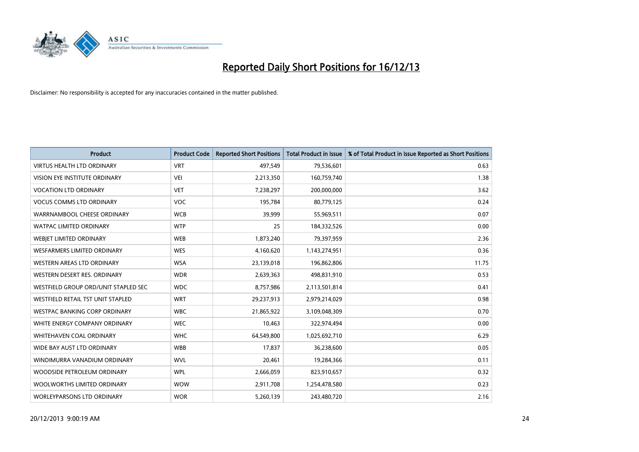

| <b>Product</b>                       | <b>Product Code</b> | <b>Reported Short Positions</b> | <b>Total Product in Issue</b> | % of Total Product in Issue Reported as Short Positions |
|--------------------------------------|---------------------|---------------------------------|-------------------------------|---------------------------------------------------------|
| <b>VIRTUS HEALTH LTD ORDINARY</b>    | <b>VRT</b>          | 497,549                         | 79,536,601                    | 0.63                                                    |
| VISION EYE INSTITUTE ORDINARY        | <b>VEI</b>          | 2,213,350                       | 160,759,740                   | 1.38                                                    |
| <b>VOCATION LTD ORDINARY</b>         | <b>VET</b>          | 7,238,297                       | 200,000,000                   | 3.62                                                    |
| <b>VOCUS COMMS LTD ORDINARY</b>      | <b>VOC</b>          | 195,784                         | 80,779,125                    | 0.24                                                    |
| WARRNAMBOOL CHEESE ORDINARY          | <b>WCB</b>          | 39,999                          | 55,969,511                    | 0.07                                                    |
| <b>WATPAC LIMITED ORDINARY</b>       | <b>WTP</b>          | 25                              | 184,332,526                   | 0.00                                                    |
| WEBJET LIMITED ORDINARY              | <b>WEB</b>          | 1,873,240                       | 79,397,959                    | 2.36                                                    |
| <b>WESFARMERS LIMITED ORDINARY</b>   | <b>WES</b>          | 4,160,620                       | 1,143,274,951                 | 0.36                                                    |
| <b>WESTERN AREAS LTD ORDINARY</b>    | <b>WSA</b>          | 23,139,018                      | 196,862,806                   | 11.75                                                   |
| WESTERN DESERT RES. ORDINARY         | <b>WDR</b>          | 2,639,363                       | 498,831,910                   | 0.53                                                    |
| WESTFIELD GROUP ORD/UNIT STAPLED SEC | <b>WDC</b>          | 8,757,986                       | 2,113,501,814                 | 0.41                                                    |
| WESTFIELD RETAIL TST UNIT STAPLED    | <b>WRT</b>          | 29,237,913                      | 2,979,214,029                 | 0.98                                                    |
| WESTPAC BANKING CORP ORDINARY        | <b>WBC</b>          | 21,865,922                      | 3,109,048,309                 | 0.70                                                    |
| WHITE ENERGY COMPANY ORDINARY        | <b>WEC</b>          | 10,463                          | 322,974,494                   | 0.00                                                    |
| WHITEHAVEN COAL ORDINARY             | <b>WHC</b>          | 64,549,800                      | 1,025,692,710                 | 6.29                                                    |
| WIDE BAY AUST LTD ORDINARY           | <b>WBB</b>          | 17,837                          | 36,238,600                    | 0.05                                                    |
| WINDIMURRA VANADIUM ORDINARY         | <b>WVL</b>          | 20,461                          | 19,284,366                    | 0.11                                                    |
| WOODSIDE PETROLEUM ORDINARY          | <b>WPL</b>          | 2,666,059                       | 823,910,657                   | 0.32                                                    |
| WOOLWORTHS LIMITED ORDINARY          | <b>WOW</b>          | 2,911,708                       | 1,254,478,580                 | 0.23                                                    |
| WORLEYPARSONS LTD ORDINARY           | <b>WOR</b>          | 5,260,139                       | 243,480,720                   | 2.16                                                    |